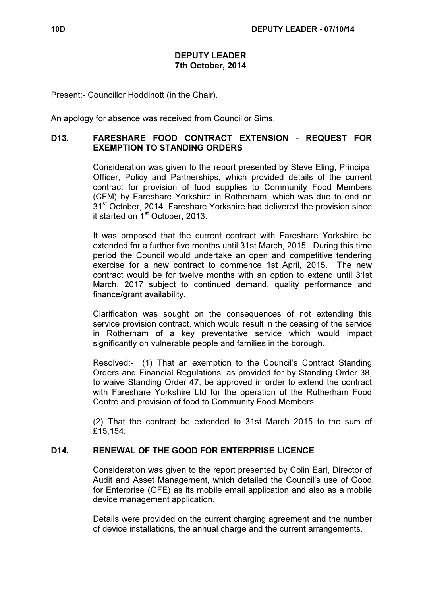#### DEPUTY LEADER 7th October, 2014

Present:- Councillor Hoddinott (in the Chair).

An apology for absence was received from Councillor Sims.

#### D13. FARESHARE FOOD CONTRACT EXTENSION - REQUEST FOR EXEMPTION TO STANDING ORDERS

 Consideration was given to the report presented by Steve Eling, Principal Officer, Policy and Partnerships, which provided details of the current contract for provision of food supplies to Community Food Members (CFM) by Fareshare Yorkshire in Rotherham, which was due to end on 31<sup>st</sup> October, 2014. Fareshare Yorkshire had delivered the provision since it started on 1<sup>st</sup> October, 2013.

It was proposed that the current contract with Fareshare Yorkshire be extended for a further five months until 31st March, 2015. During this time period the Council would undertake an open and competitive tendering exercise for a new contract to commence 1st April, 2015. The new contract would be for twelve months with an option to extend until 31st March, 2017 subject to continued demand, quality performance and finance/grant availability.

Clarification was sought on the consequences of not extending this service provision contract, which would result in the ceasing of the service in Rotherham of a key preventative service which would impact significantly on vulnerable people and families in the borough.

Resolved:- (1) That an exemption to the Council's Contract Standing Orders and Financial Regulations, as provided for by Standing Order 38, to waive Standing Order 47, be approved in order to extend the contract with Fareshare Yorkshire Ltd for the operation of the Rotherham Food Centre and provision of food to Community Food Members.

(2) That the contract be extended to 31st March 2015 to the sum of £15,154.

## D14. RENEWAL OF THE GOOD FOR ENTERPRISE LICENCE

 Consideration was given to the report presented by Colin Earl, Director of Audit and Asset Management, which detailed the Council's use of Good for Enterprise (GFE) as its mobile email application and also as a mobile device management application.

Details were provided on the current charging agreement and the number of device installations, the annual charge and the current arrangements.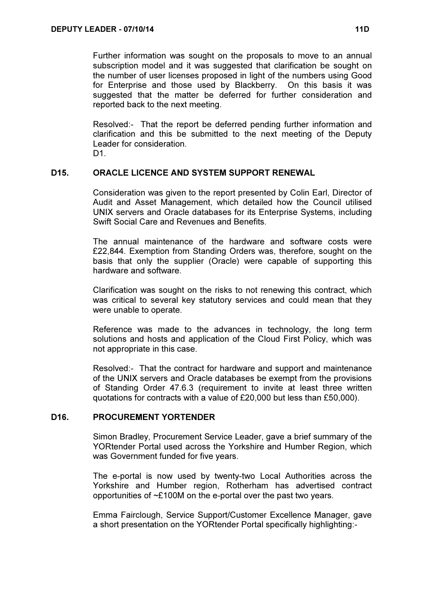Further information was sought on the proposals to move to an annual subscription model and it was suggested that clarification be sought on the number of user licenses proposed in light of the numbers using Good for Enterprise and those used by Blackberry. On this basis it was suggested that the matter be deferred for further consideration and reported back to the next meeting.

Resolved:- That the report be deferred pending further information and clarification and this be submitted to the next meeting of the Deputy Leader for consideration.

D1.

## D15. ORACLE LICENCE AND SYSTEM SUPPORT RENEWAL

 Consideration was given to the report presented by Colin Earl, Director of Audit and Asset Management, which detailed how the Council utilised UNIX servers and Oracle databases for its Enterprise Systems, including Swift Social Care and Revenues and Benefits.

The annual maintenance of the hardware and software costs were £22,844. Exemption from Standing Orders was, therefore, sought on the basis that only the supplier (Oracle) were capable of supporting this hardware and software.

Clarification was sought on the risks to not renewing this contract, which was critical to several key statutory services and could mean that they were unable to operate.

Reference was made to the advances in technology, the long term solutions and hosts and application of the Cloud First Policy, which was not appropriate in this case.

Resolved:- That the contract for hardware and support and maintenance of the UNIX servers and Oracle databases be exempt from the provisions of Standing Order 47.6.3 (requirement to invite at least three written quotations for contracts with a value of £20,000 but less than £50,000).

## D16. PROCUREMENT YORTENDER

 Simon Bradley, Procurement Service Leader, gave a brief summary of the YORtender Portal used across the Yorkshire and Humber Region, which was Government funded for five years.

The e-portal is now used by twenty-two Local Authorities across the Yorkshire and Humber region, Rotherham has advertised contract opportunities of ~£100M on the e-portal over the past two years.

Emma Fairclough, Service Support/Customer Excellence Manager, gave a short presentation on the YORtender Portal specifically highlighting:-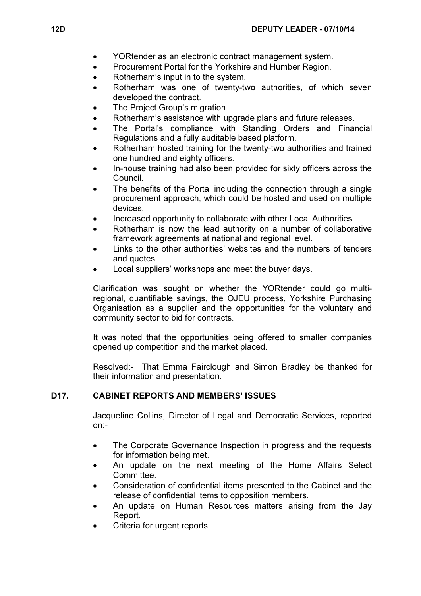- YORtender as an electronic contract management system.
- Procurement Portal for the Yorkshire and Humber Region.
- Rotherham's input in to the system.
- Rotherham was one of twenty-two authorities, of which seven developed the contract.
- The Project Group's migration.
- Rotherham's assistance with upgrade plans and future releases.
- The Portal's compliance with Standing Orders and Financial Regulations and a fully auditable based platform.
- Rotherham hosted training for the twenty-two authorities and trained one hundred and eighty officers.
- In-house training had also been provided for sixty officers across the Council.
- The benefits of the Portal including the connection through a single procurement approach, which could be hosted and used on multiple devices.
- Increased opportunity to collaborate with other Local Authorities.
- Rotherham is now the lead authority on a number of collaborative framework agreements at national and regional level.
- Links to the other authorities' websites and the numbers of tenders and quotes.
- Local suppliers' workshops and meet the buyer days.

Clarification was sought on whether the YORtender could go multiregional, quantifiable savings, the OJEU process, Yorkshire Purchasing Organisation as a supplier and the opportunities for the voluntary and community sector to bid for contracts.

It was noted that the opportunities being offered to smaller companies opened up competition and the market placed.

Resolved:- That Emma Fairclough and Simon Bradley be thanked for their information and presentation.

# D17. CABINET REPORTS AND MEMBERS' ISSUES

 Jacqueline Collins, Director of Legal and Democratic Services, reported on:-

- The Corporate Governance Inspection in progress and the requests for information being met.
- An update on the next meeting of the Home Affairs Select **Committee**
- Consideration of confidential items presented to the Cabinet and the release of confidential items to opposition members.
- An update on Human Resources matters arising from the Jay Report.
- Criteria for urgent reports.